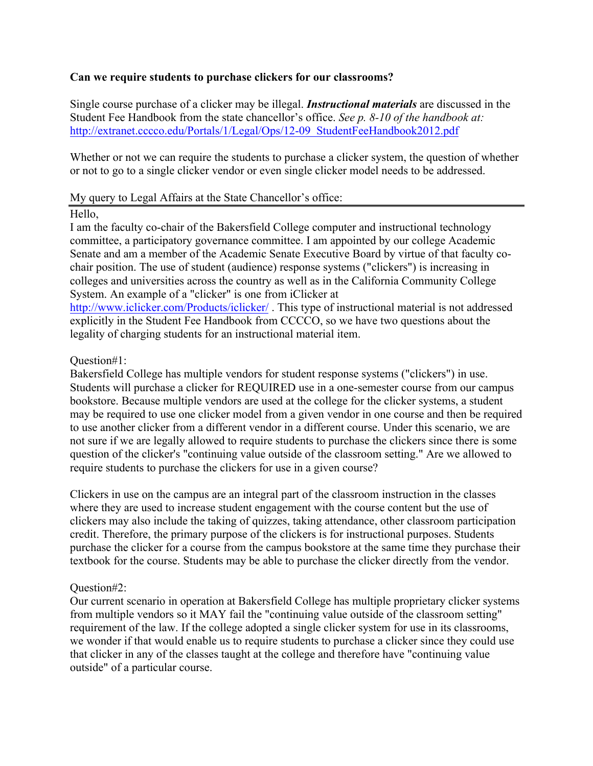## **Can we require students to purchase clickers for our classrooms?**

Single course purchase of a clicker may be illegal. *Instructional materials* are discussed in the Student Fee Handbook from the state chancellor's office. *See p. 8-10 of the handbook at:* http://extranet.cccco.edu/Portals/1/Legal/Ops/12-09\_StudentFeeHandbook2012.pdf

Whether or not we can require the students to purchase a clicker system, the question of whether or not to go to a single clicker vendor or even single clicker model needs to be addressed.

#### My query to Legal Affairs at the State Chancellor's office:

### Hello,

I am the faculty co-chair of the Bakersfield College computer and instructional technology committee, a participatory governance committee. I am appointed by our college Academic Senate and am a member of the Academic Senate Executive Board by virtue of that faculty cochair position. The use of student (audience) response systems ("clickers") is increasing in colleges and universities across the country as well as in the California Community College System. An example of a "clicker" is one from iClicker at http://www.iclicker.com/Products/iclicker/ . This type of instructional material is not addressed explicitly in the Student Fee Handbook from CCCCO, so we have two questions about the legality of charging students for an instructional material item.

### Question#1:

Bakersfield College has multiple vendors for student response systems ("clickers") in use. Students will purchase a clicker for REQUIRED use in a one-semester course from our campus bookstore. Because multiple vendors are used at the college for the clicker systems, a student may be required to use one clicker model from a given vendor in one course and then be required to use another clicker from a different vendor in a different course. Under this scenario, we are not sure if we are legally allowed to require students to purchase the clickers since there is some question of the clicker's "continuing value outside of the classroom setting." Are we allowed to require students to purchase the clickers for use in a given course?

Clickers in use on the campus are an integral part of the classroom instruction in the classes where they are used to increase student engagement with the course content but the use of clickers may also include the taking of quizzes, taking attendance, other classroom participation credit. Therefore, the primary purpose of the clickers is for instructional purposes. Students purchase the clicker for a course from the campus bookstore at the same time they purchase their textbook for the course. Students may be able to purchase the clicker directly from the vendor.

# Question#2:

Our current scenario in operation at Bakersfield College has multiple proprietary clicker systems from multiple vendors so it MAY fail the "continuing value outside of the classroom setting" requirement of the law. If the college adopted a single clicker system for use in its classrooms, we wonder if that would enable us to require students to purchase a clicker since they could use that clicker in any of the classes taught at the college and therefore have "continuing value outside" of a particular course.